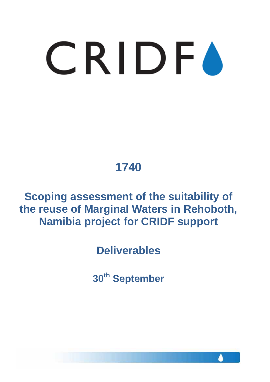# **1740**

**Scoping assessment of the suitability of the reuse of Marginal Waters in Rehoboth, Namibia project for CRIDF support**

**Deliverables**

**30th September**

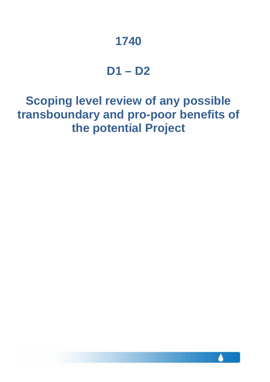# **1740**

### **D1 – D2**

**Scoping level review of any possible transboundary and pro-poor benefits of the potential Project**

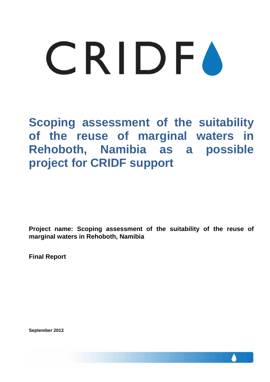**Scoping assessment of the suitability of the reuse of marginal waters in Rehoboth, Namibia as a possible project for CRIDF support**

**Project name: Scoping assessment of the suitability of the reuse of marginal waters in Rehoboth, Namibia** 

**Final Report**

**September 2013**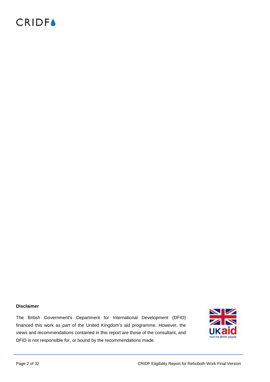#### **Disclaimer**

The British Government's Department for International Development (DFID) financed this work as part of the United Kingdom's aid programme. However, the views and recommendations contained in this report are those of the consultant, and DFID is not responsible for, or bound by the recommendations made.

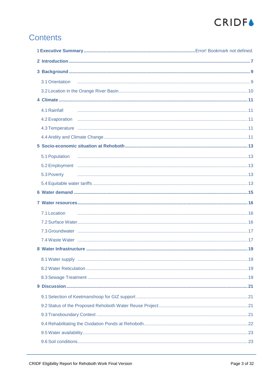# **CRIDF●**

### **Contents**

| 3.1 Orientation |  |
|-----------------|--|
|                 |  |
|                 |  |
| 4.1 Rainfall    |  |
|                 |  |
|                 |  |
|                 |  |
|                 |  |
| 5.1 Population  |  |
|                 |  |
| 5.3 Poverty     |  |
|                 |  |
|                 |  |
|                 |  |
| 7.1 Location    |  |
|                 |  |
|                 |  |
|                 |  |
|                 |  |
|                 |  |
|                 |  |
|                 |  |
|                 |  |
|                 |  |
|                 |  |
|                 |  |
|                 |  |
|                 |  |
|                 |  |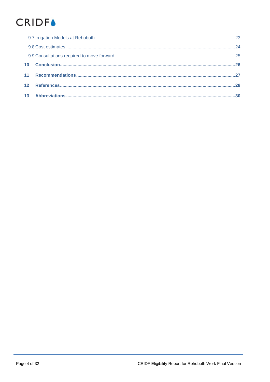# **CRIDF▲**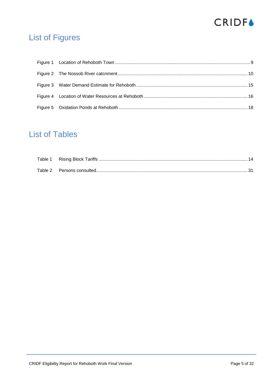

### **List of Figures**

### **List of Tables**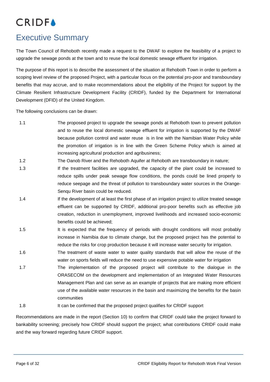### Executive Summary

The Town Council of Rehoboth recently made a request to the DWAF to explore the feasibility of a project to upgrade the sewage ponds at the town and to reuse the local domestic sewage effluent for irrigation.

The purpose of this report is to describe the assessment of the situation at Rehoboth Town in order to perform a scoping level review of the proposed Project, with a particular focus on the potential pro-poor and transboundary benefits that may accrue, and to make recommendations about the eligibility of the Project for support by the Climate Resilient Infrastructure Development Facility (CRIDF), funded by the Department for International Development (DFID) of the United Kingdom.

The following conclusions can be drawn:

- 1.1 The proposed project to upgrade the sewage ponds at Rehoboth town to prevent pollution and to reuse the local domestic sewage effluent for irrigation is supported by the DWAF because pollution control and water reuse is in line with the Namibian Water Policy while the promotion of irrigation is in line with the Green Scheme Policy which is aimed at increasing agricultural production and agribusiness;
- 1.2 The Oanob River and the Rehoboth Aquifer at Rehoboth are transboundary in nature;
- 1.3 If the treatment facilities are upgraded, the capacity of the plant could be increased to reduce spills under peak sewage flow conditions, the ponds could be lined properly to reduce seepage and the threat of pollution to transboundary water sources in the Orange-Senqu River basin could be reduced.
- 1.4 If the development of at least the first phase of an irrigation project to utilize treated sewage effluent can be supported by CRIDF, additional pro-poor benefits such as effective job creation, reduction in unemployment, improved livelihoods and increased socio-economic benefits could be achieved;
- 1.5 It is expected that the frequency of periods with drought conditions will most probably increase in Namibia due to climate change, but the proposed project has the potential to reduce the risks for crop production because it will increase water security for irrigation.
- 1.6 The treatment of waste water to water quality standards that will allow the reuse of the water on sports fields will reduce the need to use expensive potable water for irrigation
- 1.7 The implementation of the proposed project will contribute to the dialogue in the ORASECOM on the development and implementation of an Integrated Water Resources Management Plan and can serve as an example of projects that are making more efficient use of the available water resources in the basin and maximizing the benefits for the basin communities
- 1.8 It can be confirmed that the proposed project qualifies for CRIDF support

Recommendations are made in the report (Section 10) to confirm that CRIDF could take the project forward to bankability screening; precisely how CRIDF should support the project; what contributions CRIDF could make and the way forward regarding future CRIDF support.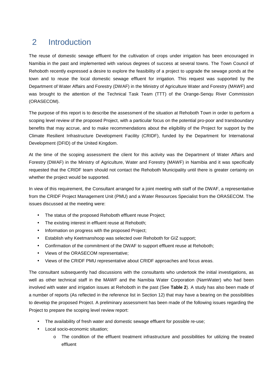### 2 Introduction

The reuse of domestic sewage effluent for the cultivation of crops under irrigation has been encouraged in Namibia in the past and implemented with various degrees of success at several towns. The Town Council of Rehoboth recently expressed a desire to explore the feasibility of a project to upgrade the sewage ponds at the town and to reuse the local domestic sewage effluent for irrigation. This request was supported by the Department of Water Affairs and Forestry (DWAF) in the Ministry of Agriculture Water and Forestry (MAWF) and was brought to the attention of the Technical Task Team (TTT) of the Orange-Senqu River Commission (ORASECOM).

The purpose of this report is to describe the assessment of the situation at Rehoboth Town in order to perform a scoping level review of the proposed Project, with a particular focus on the potential pro-poor and transboundary benefits that may accrue, and to make recommendations about the eligibility of the Project for support by the Climate Resilient Infrastructure Development Facility (CRIDF), funded by the Department for International Development (DFID) of the United Kingdom.

At the time of the scoping assessment the client for this activity was the Department of Water Affairs and Forestry (DWAF) in the Ministry of Agriculture, Water and Forestry (MAWF) in Namibia and it was specifically requested that the CRIDF team should not contact the Rehoboth Municipality until there is greater certainty on whether the project would be supported.

In view of this requirement, the Consultant arranged for a joint meeting with staff of the DWAF, a representative from the CRIDF Project Management Unit (PMU) and a Water Resources Specialist from the ORASECOM. The issues discussed at the meeting were:

- The status of the proposed Rehoboth effluent reuse Project;
- The existing interest in effluent reuse at Rehoboth;
- Information on progress with the proposed Project;
- Establish why Keetmanshoop was selected over Rehoboth for GIZ support;
- Confirmation of the commitment of the DWAF to support effluent reuse at Rehoboth;
- Views of the ORASECOM representative;
- Views of the CRIDF PMU representative about CRIDF approaches and focus areas.

The consultant subsequently had discussions with the consultants who undertook the initial investigations, as well as other technical staff in the MAWF and the Namibia Water Corporation (NamWater) who had been involved with water and irrigation issues at Rehoboth in the past (See **Table 2**). A study has also been made of a number of reports (As reflected in the reference list in Section 12) that may have a bearing on the possibilities to develop the proposed Project. A preliminary assessment has been made of the following issues regarding the Project to prepare the scoping level review report:

- The availability of fresh water and domestic sewage effluent for possible re-use;
- Local socio-economic situation;  $\mathbf{r}$ 
	- o The condition of the effluent treatment infrastructure and possibilities for utilizing the treated effluent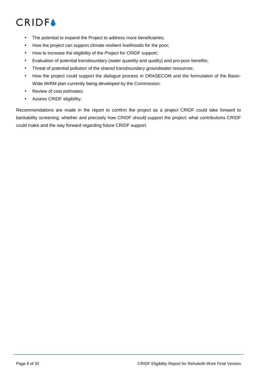- The potential to expand the Project to address more beneficiaries; l,
- How the project can support climate resilient livelihoods for the poor;
- How to increase the eligibility of the Project for CRIDF support;
- Evaluation of potential transboundary (water quantity and quality) and pro-poor benefits;
- Threat of potential pollution of the shared transboundary groundwater resources;
- How the project could support the dialogue process in ORASECOM and the formulation of the Basin-Wide IWRM plan currently being developed by the Commission;
- Review of cost estimates;
- Assess CRIDF eligibility;

Recommendations are made in the report to confirm the project as a project CRIDF could take forward to bankability screening; whether and precisely how CRIDF should support the project; what contributions CRIDF could make and the way forward regarding future CRIDF support.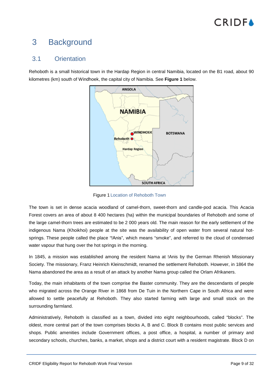# **CRIDEA**

### 3 Background

#### 3.1 Orientation

Rehoboth is a small historical town in the Hardap Region in central Namibia, located on the B1 road, about 90 kilometres (km) south of Windhoek, the capital city of Namibia. See **Figure 1** below.



Figure 1 Location of Rehoboth Town

The town is set in dense acacia woodland of camel-thorn, sweet-thorn and candle-pod acacia. This Acacia Forest covers an area of about 8 400 hectares (ha) within the municipal boundaries of Rehoboth and some of the large camel-thorn trees are estimated to be 2 000 years old. The main reason for the early settlement of the indigenous Nama (Khoikhoi) people at the site was the availability of open water from several natural hotsprings. These people called the place "!Anis", which means "smoke", and referred to the cloud of condensed water vapour that hung over the hot springs in the morning.

In 1845, a mission was established among the resident Nama at !Anis by the German Rhenish Missionary Society. The missionary, Franz Heinrich Kleinschmidt, renamed the settlement Rehoboth. However, in 1864 the Nama abandoned the area as a result of an attack by another Nama group called the Orlam Afrikaners.

Today, the main inhabitants of the town comprise the Baster community. They are the descendants of people who migrated across the Orange River in 1868 from De Tuin in the Northern Cape in South Africa and were allowed to settle peacefully at Rehoboth. They also started farming with large and small stock on the surrounding farmland.

Administratively, Rehoboth is classified as a town, divided into eight neighbourhoods, called "blocks". The oldest, more central part of the town comprises blocks A, B and C. Block B contains most public services and shops. Public amenities include Government offices, a post office, a hospital, a number of primary and secondary schools, churches, banks, a market, shops and a district court with a resident magistrate. Block D on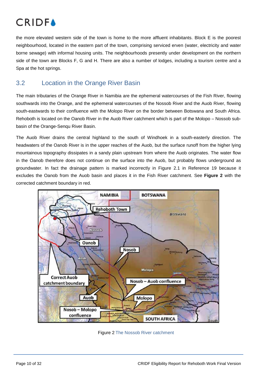

the more elevated western side of the town is home to the more affluent inhabitants. Block E is the poorest neighbourhood, located in the eastern part of the town, comprising serviced erven (water, electricity and water borne sewage) with informal housing units. The neighbourhoods presently under development on the northern side of the town are Blocks F, G and H. There are also a number of lodges, including a tourism centre and a Spa at the hot springs.

### 3.2 Location in the Orange River Basin

The main tributaries of the Orange River in Namibia are the ephemeral watercourses of the Fish River, flowing southwards into the Orange, and the ephemeral watercourses of the Nossob River and the Auob River, flowing south-eastwards to their confluence with the Molopo River on the border between Botswana and South Africa. Rehoboth is located on the Oanob River in the Auob River catchment which is part of the Molopo – Nossob subbasin of the Orange-Senqu River Basin.

The Auob River drains the central highland to the south of Windhoek in a south-easterly direction. The headwaters of the Oanob River is in the upper reaches of the Auob, but the surface runoff from the higher lying mountainous topography dissipates in a sandy plain upstream from where the Auob originates. The water flow in the Oanob therefore does not continue on the surface into the Auob, but probably flows underground as groundwater. In fact the drainage pattern is marked incorrectly in Figure 2.1 in Reference 19 because it excludes the Oanob from the Auob basin and places it in the Fish River catchment. See **Figure 2** with the corrected catchment boundary in red.



Figure 2 The Nossob River catchment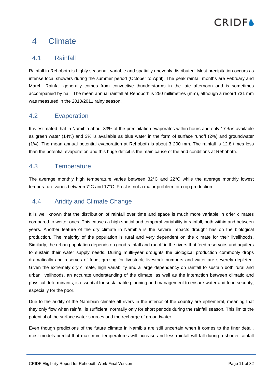### 4 Climate

#### 4.1 Rainfall

Rainfall in Rehoboth is highly seasonal, variable and spatially unevenly distributed. Most precipitation occurs as intense local showers during the summer period (October to April). The peak rainfall months are February and March. Rainfall generally comes from convective thunderstorms in the late afternoon and is sometimes accompanied by hail. The mean annual rainfall at Rehoboth is 250 millimetres (mm), although a record 731 mm was measured in the 2010/2011 rainy season.

#### 4.2 Evaporation

It is estimated that in Namibia about 83% of the precipitation evaporates within hours and only 17% is available as green water (14%) and 3% is available as blue water in the form of surface runoff (2%) and groundwater (1%). The mean annual potential evaporation at Rehoboth is about 3 200 mm. The rainfall is 12.8 times less than the potential evaporation and this huge deficit is the main cause of the arid conditions at Rehoboth.

#### 4.3 Temperature

The average monthly high temperature varies between 32°C and 22°C while the average monthly lowest temperature varies between 7°C and 17°C. Frost is not a major problem for crop production.

### 4.4 Aridity and Climate Change

It is well known that the distribution of rainfall over time and space is much more variable in drier climates compared to wetter ones. This causes a high spatial and temporal variability in rainfall, both within and between years. Another feature of the dry climate in Namibia is the severe impacts drought has on the biological production. The majority of the population is rural and very dependent on the climate for their livelihoods. Similarly, the urban population depends on good rainfall and runoff in the rivers that feed reservoirs and aquifers to sustain their water supply needs. During multi-year droughts the biological production commonly drops dramatically and reserves of food, grazing for livestock, livestock numbers and water are severely depleted. Given the extremely dry climate, high variability and a large dependency on rainfall to sustain both rural and urban livelihoods, an accurate understanding of the climate, as well as the interaction between climatic and physical determinants, is essential for sustainable planning and management to ensure water and food security, especially for the poor.

Due to the aridity of the Namibian climate all rivers in the interior of the country are ephemeral, meaning that they only flow when rainfall is sufficient, normally only for short periods during the rainfall season. This limits the potential of the surface water sources and the recharge of groundwater.

Even though predictions of the future climate in Namibia are still uncertain when it comes to the finer detail, most models predict that maximum temperatures will increase and less rainfall will fall during a shorter rainfall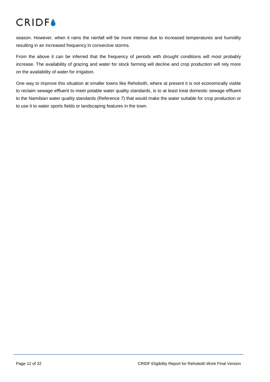

season. However, when it rains the rainfall will be more intense due to increased temperatures and humidity resulting in an increased frequency in convective storms.

From the above it can be inferred that the frequency of periods with drought conditions will most probably increase. The availability of grazing and water for stock farming will decline and crop production will rely more on the availability of water for irrigation.

One way to improve this situation at smaller towns like Rehoboth, where at present it is not economically viable to reclaim sewage effluent to meet potable water quality standards, is to at least treat domestic sewage effluent to the Namibian water quality standards (Reference 7) that would make the water suitable for crop production or to use it to water sports fields or landscaping features in the town.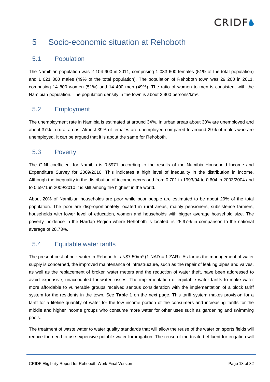### 5 Socio-economic situation at Rehoboth

#### 5.1 Population

The Namibian population was 2 104 900 in 2011, comprising 1 083 600 females (51% of the total population) and 1 021 300 males (49% of the total population). The population of Rehoboth town was 29 200 in 2011, comprising 14 800 women (51%) and 14 400 men (49%). The ratio of women to men is consistent with the Namibian population. The population density in the town is about 2 900 persons/km².

### 5.2 Employment

The unemployment rate in Namibia is estimated at around 34%. In urban areas about 30% are unemployed and about 37% in rural areas. Almost 39% of females are unemployed compared to around 29% of males who are unemployed. It can be argued that it is about the same for Rehoboth.

### 5.3 Poverty

The GINI coefficient for Namibia is 0.5971 according to the results of the Namibia Household Income and Expenditure Survey for 2009/2010. This indicates a high level of inequality in the distribution in income. Although the inequality in the distribution of income decreased from 0.701 in 1993/94 to 0.604 in 2003/2004 and to 0.5971 in 2009/2010 it is still among the highest in the world.

About 20% of Namibian households are poor while poor people are estimated to be about 29% of the total population. The poor are disproportionately located in rural areas, mainly pensioners, subsistence farmers, households with lower level of education, women and households with bigger average household size. The poverty incidence in the Hardap Region where Rehoboth is located, is 25.97% in comparison to the national average of 28.73%.

### 5.4 Equitable water tariffs

The present cost of bulk water in Rehoboth is  $N$7.50/m³$  (1 NAD = 1 ZAR). As far as the management of water supply is concerned, the improved maintenance of infrastructure, such as the repair of leaking pipes and valves, as well as the replacement of broken water meters and the reduction of water theft, have been addressed to avoid expensive, unaccounted for water losses. The implementation of equitable water tariffs to make water more affordable to vulnerable groups received serious consideration with the implementation of a block tariff system for the residents in the town. See **Table 1** on the next page. This tariff system makes provision for a tariff for a lifeline quantity of water for the low income portion of the consumers and increasing tariffs for the middle and higher income groups who consume more water for other uses such as gardening and swimming pools.

The treatment of waste water to water quality standards that will allow the reuse of the water on sports fields will reduce the need to use expensive potable water for irrigation. The reuse of the treated effluent for irrigation will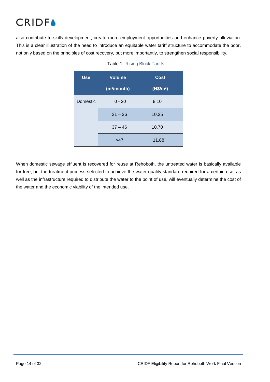also contribute to skills development, create more employment opportunities and enhance poverty alleviation. This is a clear illustration of the need to introduce an equitable water tariff structure to accommodate the poor, not only based on the principles of cost recovery, but more importantly, to strengthen social responsibility.

| <b>Use</b> | Volume                  | <b>Cost</b>           |
|------------|-------------------------|-----------------------|
|            | (m <sup>3</sup> /month) | (N\$/m <sup>3</sup> ) |
| Domestic   | $0 - 20$                | 8.10                  |
|            | $21 - 36$               | 10.25                 |
|            | $37 - 46$               | 10.70                 |
|            | >47                     | 11.88                 |

When domestic sewage effluent is recovered for reuse at Rehoboth, the untreated water is basically available for free, but the treatment process selected to achieve the water quality standard required for a certain use, as well as the infrastructure required to distribute the water to the point of use, will eventually determine the cost of the water and the economic viability of the intended use.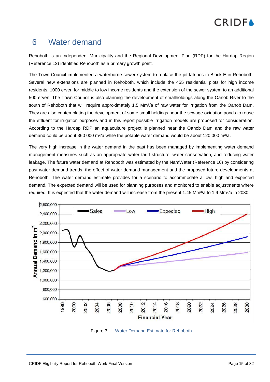### 6 Water demand

Rehoboth is an independent Municipality and the Regional Development Plan (RDP) for the Hardap Region (Reference 12) identified Rehoboth as a primary growth point.

The Town Council implemented a waterborne sewer system to replace the pit latrines in Block E in Rehoboth. Several new extensions are planned in Rehoboth, which include the 455 residential plots for high income residents, 1000 erven for middle to low income residents and the extension of the sewer system to an additional 500 erven. The Town Council is also planning the development of smallholdings along the Oanob River to the south of Rehoboth that will require approximately 1.5 Mm<sup>3</sup>/a of raw water for irrigation from the Oanob Dam. They are also contemplating the development of some small holdings near the sewage oxidation ponds to reuse the effluent for irrigation purposes and in this report possible irrigation models are proposed for consideration. According to the Hardap RDP an aquaculture project is planned near the Oanob Dam and the raw water demand could be about 360 000 m $\frac{3}{a}$  while the potable water demand would be about 120 000 m $\frac{3}{a}$ .

The very high increase in the water demand in the past has been managed by implementing water demand management measures such as an appropriate water tariff structure, water conservation, and reducing water leakage. The future water demand at Rehoboth was estimated by the NamWater (Reference 16) by considering past water demand trends, the effect of water demand management and the proposed future developments at Rehoboth. The water demand estimate provides for a scenario to accommodate a low, high and expected demand. The expected demand will be used for planning purposes and monitored to enable adjustments where required. It is expected that the water demand will increase from the present 1.45 Mm<sup>3</sup>/a to 1.9 Mm<sup>3</sup>/a in 2030.



Figure 3 Water Demand Estimate for Rehoboth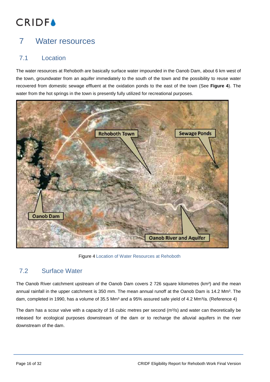### 7 Water resources

### 7.1 Location

The water resources at Rehoboth are basically surface water impounded in the Oanob Dam, about 6 km west of the town, groundwater from an aquifer immediately to the south of the town and the possibility to reuse water recovered from domestic sewage effluent at the oxidation ponds to the east of the town (See **Figure 4**). The water from the hot springs in the town is presently fully utilized for recreational purposes.



Figure 4 Location of Water Resources at Rehoboth

### 7.2 Surface Water

The Oanob River catchment upstream of the Oanob Dam covers 2 726 square kilometres (km<sup>2</sup>) and the mean annual rainfall in the upper catchment is 350 mm. The mean annual runoff at the Oanob Dam is 14.2 Mm<sup>3</sup>. The dam, completed in 1990, has a volume of 35.5 Mm<sup>3</sup> and a 95% assured safe yield of 4.2 Mm<sup>3</sup>/a. (Reference 4)

The dam has a scour valve with a capacity of 16 cubic metres per second  $(m<sup>3</sup>/s)$  and water can theoretically be released for ecological purposes downstream of the dam or to recharge the alluvial aquifers in the river downstream of the dam.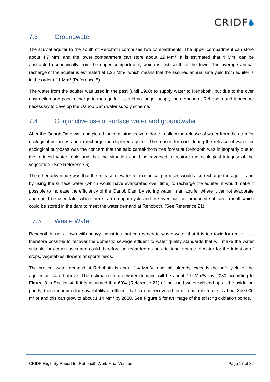#### 7.3 Groundwater

The alluvial aquifer to the south of Rehoboth comprises two compartments. The upper compartment can store about 4.7 Mm<sup>3</sup> and the lower compartment can store about 22 Mm<sup>3</sup>. It is estimated that 4 Mm<sup>3</sup> can be abstracted economically from the upper compartment, which is just south of the town. The average annual recharge of the aquifer is estimated at 1.22 Mm<sup>3</sup>, which means that the assured annual safe yield from aquifer is in the order of 1 Mm<sup>3</sup> (Reference 5).

The water from the aquifer was used in the past (until 1990) to supply water to Rehoboth, but due to the over abstraction and poor recharge to the aquifer it could no longer supply the demand at Rehoboth and it became necessary to develop the Oanob Dam water supply scheme.

#### 7.4 Conjunctive use of surface water and groundwater

After the Oanob Dam was completed, several studies were done to allow the release of water from the dam for ecological purposes and to recharge the depleted aquifer. The reason for considering the release of water for ecological purposes was the concern that the said camel-thorn tree forest at Rehoboth was in jeopardy due to the reduced water table and that the situation could be reversed to restore the ecological integrity of the vegetation. (See Reference 6)

The other advantage was that the release of water for ecological purposes would also recharge the aquifer and by using the surface water (which would have evaporated over time) to recharge the aquifer, it would make it possible to increase the efficiency of the Oanob Dam by storing water in an aquifer where it cannot evaporate and could be used later when there is a drought cycle and the river has not produced sufficient runoff which could be stored in the dam to meet the water demand at Rehoboth. (See Reference 21)

### 7.5 Waste Water

Rehoboth is not a town with heavy industries that can generate waste water that it is too toxic for reuse. It is therefore possible to recover the domestic sewage effluent to water quality standards that will make the water suitable for certain uses and could therefore be regarded as an additional source of water for the irrigation of crops, vegetables, flowers or sports fields.

The present water demand at Rehoboth is about 1.4  $Mm<sup>3</sup>/a$  and this already exceeds the safe yield of the aquifer as stated above. The estimated future water demand will be about 1.9 Mm<sup>3</sup>/a by 2030 according to **Figure 3** in Section 4. If it is assumed that 60% (Reference 21) of the used water will end up at the oxidation ponds, then the immediate availability of effluent that can be recovered for non-potable reuse is about 840 000 m<sup>3</sup> or and this can grow to about 1.14 Mm<sup>3</sup> by 2030. See Figure 5 for an image of the existing oxidation ponds.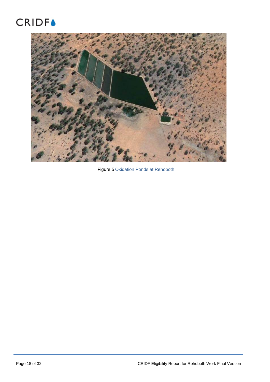### **CRIDF▲**



Figure 5 Oxidation Ponds at Rehoboth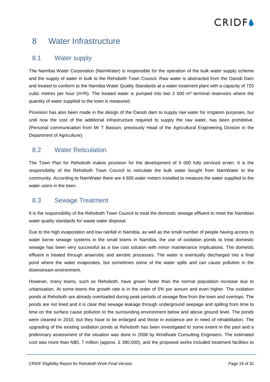### 8 Water Infrastructure

#### 8.1 Water supply

The Namibia Water Corporation (NamWater) is responsible for the operation of the bulk water supply scheme and the supply of water in bulk to the Rehoboth Town Council. Raw water is abstracted from the Oanob Dam and treated to conform to the Namibia Water Quality Standards at a water treatment plant with a capacity of 720 cubic metres per hour ( $m<sup>3</sup>/h$ ). The treated water is pumped into two 2 500  $m<sup>3</sup>$  terminal reservoirs where the quantity of water supplied to the town is measured.

Provision has also been made in the design of the Oanob dam to supply raw water for irrigation purposes, but until now the cost of the additional infrastructure required to supply the raw water, has been prohibitive. (Personal communication from Mr T Basson, previously Head of the Agricultural Engineering Division in the Department of Agriculture).

#### 8.2 Water Reticulation

The Town Plan for Rehoboth makes provision for the development of 5 000 fully serviced erven. It is the responsibility of the Rehoboth Town Council to reticulate the bulk water bought from NamWater to the community. According to NamWater there are 4 600 water meters installed to measure the water supplied to the water users in the town.

### 8.3 Sewage Treatment

It is the responsibility of the Rehoboth Town Council to treat the domestic sewage effluent to meet the Namibian water quality standards for waste water disposal.

Due to the high evaporation and low rainfall in Namibia, as well as the small number of people having access to water borne sewage systems in the small towns in Namibia, the use of oxidation ponds to treat domestic sewage has been very successful as a low cost solution with minor maintenance implications. The domestic effluent is treated through anaerobic and aerobic processes. The water is eventually discharged into a final pond where the water evaporates, but sometimes some of the water spills and can cause pollution in the downstream environment.

However, many towns, such as Rehoboth, have grown faster than the normal population increase due to urbanisation. At some towns the growth rate is in the order of 5% per annum and even higher. The oxidation ponds at Rehoboth are already overloaded during peak periods of sewage flow from the town and overtops. The ponds are not lined and it is clear that sewage leakage through underground seepage and spilling from time to time on the surface cause pollution to the surrounding environment below and above ground level. The ponds were cleaned in 2010, but they have to be enlarged and those in existence are in need of rehabilitation. The upgrading of the existing oxidation ponds at Rehoboth has been investigated to some extent in the past and a preliminary assessment of the situation was done in 2008 by Windhoek Consulting Engineers. The estimated cost was more than N\$5, 7 million (approx. £ 380,000), and the proposed works included treatment facilities to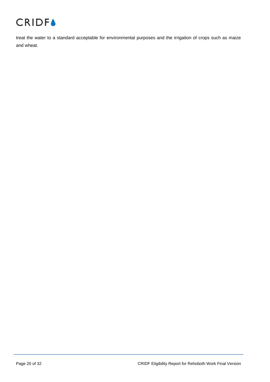

treat the water to a standard acceptable for environmental purposes and the irrigation of crops such as maize and wheat.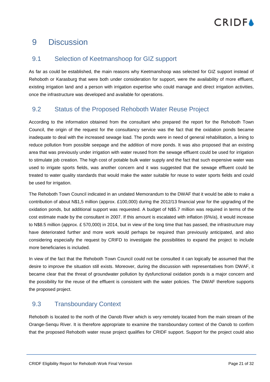### 9 Discussion

#### 9.1 Selection of Keetmanshoop for GIZ support

As far as could be established, the main reasons why Keetmanshoop was selected for GIZ support instead of Rehoboth or Karasburg that were both under consideration for support, were the availability of more effluent, existing irrigation land and a person with irrigation expertise who could manage and direct irrigation activities, once the infrastructure was developed and available for operations.

### 9.2 Status of the Proposed Rehoboth Water Reuse Project

According to the information obtained from the consultant who prepared the report for the Rehoboth Town Council, the origin of the request for the consultancy service was the fact that the oxidation ponds became inadequate to deal with the increased sewage load. The ponds were in need of general rehabilitation, a lining to reduce pollution from possible seepage and the addition of more ponds. It was also proposed that an existing area that was previously under irrigation with water reused from the sewage effluent could be used for irrigation to stimulate job creation. The high cost of potable bulk water supply and the fact that such expensive water was used to irrigate sports fields, was another concern and it was suggested that the sewage effluent could be treated to water quality standards that would make the water suitable for reuse to water sports fields and could be used for irrigation.

The Rehoboth Town Council indicated in an undated Memorandum to the DWAF that it would be able to make a contribution of about N\$1,5 million (approx. £100,000) during the 2012/13 financial year for the upgrading of the oxidation ponds, but additional support was requested. A budget of N\$5.7 million was required in terms of the cost estimate made by the consultant in 2007. If this amount is escalated with inflation (6%/a), it would increase to N\$8.5 million (approx. £ 570,000) in 2014, but in view of the long time that has passed, the infrastructure may have deteriorated further and more work would perhaps be required than previously anticipated, and also considering especially the request by CRIFD to investigate the possibilities to expand the project to include more beneficiaries is included.

In view of the fact that the Rehoboth Town Council could not be consulted it can logically be assumed that the desire to improve the situation still exists. Moreover, during the discussion with representatives from DWAF, it became clear that the threat of groundwater pollution by dysfunctional oxidation ponds is a major concern and the possibility for the reuse of the effluent is consistent with the water policies. The DWAF therefore supports the proposed project.

### 9.3 Transboundary Context

Rehoboth is located to the north of the Oanob River which is very remotely located from the main stream of the Orange-Senqu River. It is therefore appropriate to examine the transboundary context of the Oanob to confirm that the proposed Rehoboth water reuse project qualifies for CRIDF support. Support for the project could also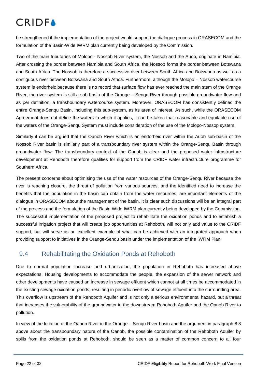be strengthened if the implementation of the project would support the dialogue process in ORASECOM and the formulation of the Basin-Wide IWRM plan currently being developed by the Commission.

Two of the main tributaries of Molopo - Nossob River system, the Nossob and the Auob, originate in Namibia. After crossing the border between Namibia and South Africa, the Nossob forms the border between Botswana and South Africa. The Nossob is therefore a successive river between South Africa and Botswana as well as a contiguous river between Botswana and South Africa. Furthermore, although the Molopo – Nossob watercourse system is endorheic because there is no record that surface flow has ever reached the main stem of the Orange River, the river system is still a sub-basin of the Orange – Senqu River through possible groundwater flow and as per definition, a transboundary watercourse system. Moreover, ORASECOM has consistently defined the entire Orange-Senqu Basin, including this sub-system, as its area of interest. As such, while the ORASECOM Agreement does not define the waters to which it applies, it can be taken that reasonable and equitable use of the waters of the Orange-Senqu System must include consideration of the use of the Molopo-Nossop system.

Similarly it can be argued that the Oanob River which is an endorheic river within the Auob sub-basin of the Nossob River basin is similarly part of a transboundary river system within the Orange-Senqu Basin through groundwater flow. The transboundary context of the Oanob is clear and the proposed water infrastructure development at Rehoboth therefore qualifies for support from the CRIDF water infrastructure programme for Southern Africa.

The present concerns about optimising the use of the water resources of the Orange-Senqu River because the river is reaching closure, the threat of pollution from various sources, and the identified need to increase the benefits that the population in the basin can obtain from the water resources, are important elements of the dialogue in ORASECOM about the management of the basin. It is clear such discussions will be an integral part of the process and the formulation of the Basin-Wide IWRM plan currently being developed by the Commission. The successful implementation of the proposed project to rehabilitate the oxidation ponds and to establish a successful irrigation project that will create job opportunities at Rehoboth, will not only add value to the CRIDF support, but will serve as an excellent example of what can be achieved with an integrated approach when providing support to initiatives in the Orange-Senqu basin under the implementation of the IWRM Plan.

### 9.4 Rehabilitating the Oxidation Ponds at Rehoboth

Due to normal population increase and urbanisation, the population in Rehoboth has increased above expectations. Housing developments to accommodate the people, the expansion of the sewer network and other developments have caused an increase in sewage effluent which cannot at all times be accommodated in the existing sewage oxidation ponds, resulting in periodic overflow of sewage effluent into the surrounding area. This overflow is upstream of the Rehoboth Aquifer and is not only a serious environmental hazard, but a threat that increases the vulnerability of the groundwater in the downstream Rehoboth Aquifer and the Oanob River to pollution.

In view of the location of the Oanob River in the Orange – Senqu River basin and the argument in paragraph 8.3 above about the transboundary nature of the Oanob, the possible contamination of the Rehoboth Aquifer by spills from the oxidation ponds at Rehoboth, should be seen as a matter of common concern to all four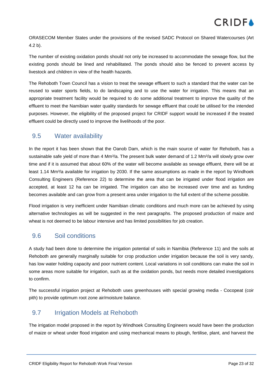

ORASECOM Member States under the provisions of the revised SADC Protocol on Shared Watercourses (Art 4.2 b).

The number of existing oxidation ponds should not only be increased to accommodate the sewage flow, but the existing ponds should be lined and rehabilitated. The ponds should also be fenced to prevent access by livestock and children in view of the health hazards.

The Rehoboth Town Council has a vision to treat the sewage effluent to such a standard that the water can be reused to water sports fields, to do landscaping and to use the water for irrigation. This means that an appropriate treatment facility would be required to do some additional treatment to improve the quality of the effluent to meet the Namibian water quality standards for sewage effluent that could be utilised for the intended purposes. However, the eligibility of the proposed project for CRIDF support would be increased if the treated effluent could be directly used to improve the livelihoods of the poor.

#### 9.5 Water availability

In the report it has been shown that the Oanob Dam, which is the main source of water for Rehoboth, has a sustainable safe yield of more than 4  $Mm<sup>3</sup>/a$ . The present bulk water demand of 1.2  $Mm<sup>3</sup>/a$  will slowly grow over time and if it is assumed that about 60% of the water will become available as sewage effluent, there will be at least 1.14 Mm<sup>3</sup>/a available for irrigation by 2030. If the same assumptions as made in the report by Windhoek Consulting Engineers (Reference 22) to determine the area that can be irrigated under flood irrigation are accepted, at least 12 ha can be irrigated. The irrigation can also be increased over time and as funding becomes available and can grow from a present area under irrigation to the full extent of the scheme possible.

Flood irrigation is very inefficient under Namibian climatic conditions and much more can be achieved by using alternative technologies as will be suggested in the next paragraphs. The proposed production of maize and wheat is not deemed to be labour intensive and has limited possibilities for job creation.

### 9.6 Soil conditions

A study had been done to determine the irrigation potential of soils in Namibia (Reference 11) and the soils at Rehoboth are generally marginally suitable for crop production under irrigation because the soil is very sandy, has low water holding capacity and poor nutrient content. Local variations in soil conditions can make the soil in some areas more suitable for irrigation, such as at the oxidation ponds, but needs more detailed investigations to confirm.

The successful irrigation project at Rehoboth uses greenhouses with special growing media - Cocopeat (coir pith) to provide optimum root zone air/moisture balance.

### 9.7 Irrigation Models at Rehoboth

The irrigation model proposed in the report by Windhoek Consulting Engineers would have been the production of maize or wheat under flood irrigation and using mechanical means to plough, fertilise, plant, and harvest the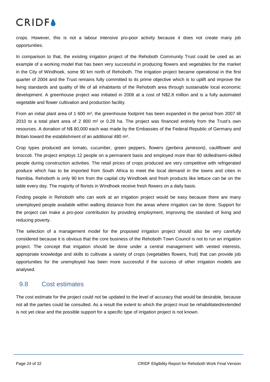# **CRIDEA**

crops. However, this is not a labour intensive pro-poor activity because it does not create many job opportunities.

In comparison to that, the existing irrigation project of the Rehoboth Community Trust could be used as an example of a working model that has been very successful in producing flowers and vegetables for the market in the City of Windhoek, some 90 km north of Rehoboth. The irrigation project became operational in the first quarter of 2004 and the Trust remains fully committed to its prime objective which is to uplift and improve the living standards and quality of life of all inhabitants of the Rehoboth area through sustainable local economic development. A greenhouse project was initiated in 2006 at a cost of N\$2.8 million and is a fully automated vegetable and flower cultivation and production facility.

From an initial plant area of 1 600 m², the greenhouse footprint has been expanded in the period from 2007 till 2010 to a total plant area of 2 800 m² or 0.28 ha. The project was financed entirely from the Trust's own resources. A donation of N\$ 80,000 each was made by the Embassies of the Federal Republic of Germany and Britain toward the establishment of an additional 480 m².

Crop types produced are tomato, cucumber, green peppers, flowers *(gerbera jamesoni)*, cauliflower and broccoli. The project employs 12 people on a permanent basis and employed more than 60 skilled/semi-skilled people during construction activities. The retail prices of crops produced are very competitive with refrigerated produce which has to be imported from South Africa to meet the local demand in the towns and cities in Namibia. Rehoboth is only 90 km from the capital city Windhoek and fresh products like lettuce can be on the table every day. The majority of florists in Windhoek receive fresh flowers on a daily basis.

Finding people in Rehoboth who can work at an irrigation project would be easy because there are many unemployed people available within walking distance from the areas where irrigation can be done. Support for the project can make a pro-poor contribution by providing employment, improving the standard of living and reducing poverty.

The selection of a management model for the proposed irrigation project should also be very carefully considered because it is obvious that the core business of the Rehoboth Town Council is not to run an irrigation project. The concept that irrigation should be done under a central management with vested interests, appropriate knowledge and skills to cultivate a variety of crops (vegetables flowers, fruit) that can provide job opportunities for the unemployed has been more successful if the success of other irrigation models are analysed.

#### 9.8 Cost estimates

The cost estimate for the project could not be updated to the level of accuracy that would be desirable, because not all the parties could be consulted. As a result the extent to which the project must be rehabilitated/extended is not yet clear and the possible support for a specific type of irrigation project is not known.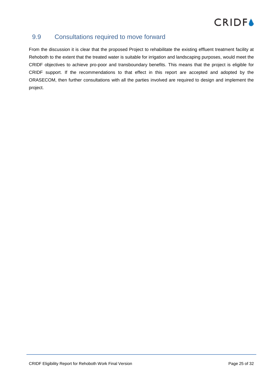### 9.9 Consultations required to move forward

From the discussion it is clear that the proposed Project to rehabilitate the existing effluent treatment facility at Rehoboth to the extent that the treated water is suitable for irrigation and landscaping purposes, would meet the CRIDF objectives to achieve pro-poor and transboundary benefits. This means that the project is eligible for CRIDF support. If the recommendations to that effect in this report are accepted and adopted by the ORASECOM, then further consultations with all the parties involved are required to design and implement the project.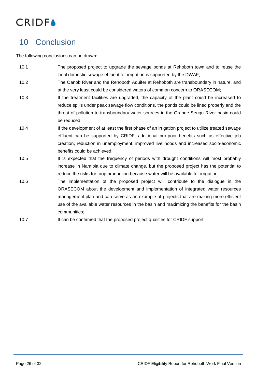

### 10 Conclusion

The following conclusions can be drawn:

- 10.1 The proposed project to upgrade the sewage ponds at Rehoboth town and to reuse the local domestic sewage effluent for irrigation is supported by the DWAF;
- 10.2 The Oanob River and the Rehoboth Aquifer at Rehoboth are transboundary in nature, and at the very least could be considered waters of common concern to ORASECOM;
- 10.3 If the treatment facilities are upgraded, the capacity of the plant could be increased to reduce spills under peak sewage flow conditions, the ponds could be lined properly and the threat of pollution to transboundary water sources in the Orange-Senqu River basin could be reduced;
- 10.4 If the development of at least the first phase of an irrigation project to utilize treated sewage effluent can be supported by CRIDF, additional pro-poor benefits such as effective job creation, reduction in unemployment, improved livelihoods and increased socio-economic benefits could be achieved;
- 10.5 It is expected that the frequency of periods with drought conditions will most probably increase in Namibia due to climate change, but the proposed project has the potential to reduce the risks for crop production because water will be available for irrigation;
- 10.6 The implementation of the proposed project will contribute to the dialogue in the ORASECOM about the development and implementation of integrated water resources management plan and can serve as an example of projects that are making more efficient use of the available water resources in the basin and maximizing the benefits for the basin communities;
- 10.7 It can be confirmed that the proposed project qualifies for CRIDF support.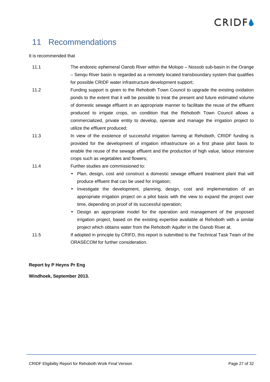# **CRIDEA**

### 11 Recommendations

#### It is recommended that

- 11.1 The endoreic ephemeral Oanob River within the Molopo Nossob sub-basin in the Orange – Senqu River basin is regarded as a remotely located transboundary system that qualifies for possible CRIDF water infrastructure development support;
- 11.2 Funding support is given to the Rehoboth Town Council to upgrade the existing oxidation ponds to the extent that it will be possible to treat the present and future estimated volume of domestic sewage effluent in an appropriate manner to facilitate the reuse of the effluent produced to irrigate crops, on condition that the Rehoboth Town Council allows a commercialized, private entity to develop, operate and manage the irrigation project to utilize the effluent produced;
- 11.3 In view of the existence of successful irrigation farming at Rehoboth, CRIDF funding is provided for the development of irrigation infrastructure on a first phase pilot basis to enable the reuse of the sewage effluent and the production of high value, labour intensive crops such as vegetables and flowers;
- 11.4 Further studies are commissioned to:
	- Plan, design, cost and construct a domestic sewage effluent treatment plant that will produce effluent that can be used for irrigation;
	- Investigate the development, planning, design, cost and implementation of an appropriate irrigation project on a pilot basis with the view to expand the project over time, depending on proof of its successful operation;
	- Design an appropriate model for the operation and management of the proposed irrigation project, based on the existing expertise available at Rehoboth with a similar project which obtains water from the Rehoboth Aquifer in the Oanob River at.
- 11.5 If adopted in principle by CRIFD, this report is submitted to the Technical Task Team of the ORASECOM for further consideration.

**Report by P Heyns Pr Eng**

**Windhoek, September 2013.**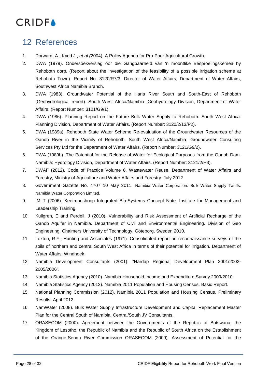

### 12 References

- 1. Dorward, A., Kydd J., *et al (*2004). A Policy Agenda for Pro-Poor Agricultural Growth.
- 2. DWA (1979). Ondersoekverslag oor die Gangbaarheid van 'n moontlike Besproeiingskemea by Rehoboth dorp. (Report about the investigation of the feasibility of a possible irrigation scheme at Rehoboth Town). Report No. 3120/R7/3. Director of Water Affairs, Department of Water Affairs, Southwest Africa Namibia Branch.
- 3. DWA (1983). Groundwater Potential of the Haris River South and South-East of Rehoboth (Geohydrological report). South West Africa/Namibia: Geohydrology Division, Department of Water Affairs. (Report Number: 3121/G9/1).
- 4. DWA (1986). Planning Report on the Future Bulk Water Supply to Rehoboth. South West Africa: Planning Division, Department of Water Affairs. (Report Number: 3120/2/13/P2).
- 5. DWA (1989a). Rehoboth State Water Scheme Re-evaluation of the Groundwater Resources of the Oanob River in the Vicinity of Rehoboth. South West Africa/Namibia: Groundwater Consulting Services Pty Ltd for the Department of Water Affairs. (Report Number: 3121/G9/2).
- 6. DWA (1989b). The Potential for the Release of Water for Ecological Purposes from the Oanob Dam. Namibia: Hydrology Division, Department of Water Affairs. (Report Number: 3121/2/H3).
- 7. DWAF (2012). Code of Practice Volume 6. Wastewater Reuse. Department of Water Affairs and Forestry, Ministry of Agriculture and Water Affairs and Forestry. July 2012
- 8. Government Gazette No. 4707 10 May 2011. Namibia Water Corporation: Bulk Water Supply Tariffs. Namibia Water Corporation Limited.
- 9. IMLT (2006). Keetmanshoop Integrated Bio-Systems Concept Note. Institute for Management and Leadership Training.
- 10. Kullgren, E and Perdell, J (2010). Vulnerability and Risk Assessment of Artificial Recharge of the Oanob Aquifer in Namibia. Department of Civil and Environmental Engineering. Division of Geo Engineering, Chalmers University of Technology, Göteborg, Sweden 2010.
- 11. Loxton, R.F., Hunting and Associates (1971). Consolidated report on reconnaissance surveys of the soils of northern and central South West Africa in terms of their potential for irrigation. Department of Water Affairs, Windhoek.
- 12. Namibia Development Consultants (2001). "Hardap Regional Development Plan 2001/2002- 2005/2006".
- 13. Namibia Statistics Agency (2010). Namibia Household Income and Expenditure Survey 2009/2010.
- 14. Namibia Statistics Agency (2012). Namibia 2011 Population and Housing Census. Basic Report.
- 15. National Planning Commission (2012). Namibia 2011 Population and Housing Census. Preliminary Results. April 2012.
- 16. NamWater (2008). Bulk Water Supply Infrastructure Development and Capital Replacement Master Plan for the Central South of Namibia. Central/South JV Consultants.
- 17. ORASECOM (2000). Agreement between the Governments of the Republic of Botswana, the Kingdom of Lesotho, the Republic of Namibia and the Republic of South Africa on the Establishment of the Orange-Senqu River Commission ORASECOM (2009). Assessment of Potential for the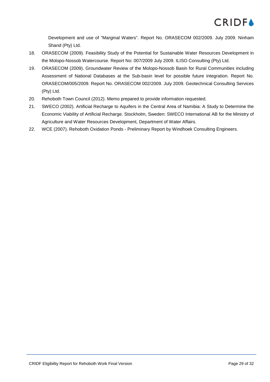

Development and use of "Marginal Waters". Report No. ORASECOM 002/2009. July 2009. Ninham Shand (Pty) Ltd.

- 18. ORASECOM (2009). Feasibility Study of the Potential for Sustainable Water Resources Development in the Molopo-Nossob Watercourse. Report No: 007/2009 July 2009. ILISO Consulting (Pty) Ltd.
- 19. ORASECOM (2009). Groundwater Review of the Molopo-Nossob Basin for Rural Communities including Assessment of National Databases at the Sub-basin level for possible future integration. Report No. ORASECOM/005/2009. Report No. ORASECOM 002/2009. July 2009. Geotechnical Consulting Services (Pty) Ltd.
- 20. Rehoboth Town Council (2012). Memo prepared to provide information requested.
- 21. SWECO (2002). Artificial Recharge to Aquifers in the Central Area of Namibia: A Study to Determine the Economic Viability of Artificial Recharge. Stockholm, Sweden: SWECO International AB for the Ministry of Agriculture and Water Resources Development, Department of Water Affairs.
- 22. WCE (2007). Rehoboth Oxidation Ponds Preliminary Report by Windhoek Consulting Engineers.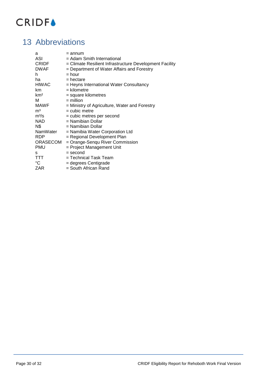

### 13 Abbreviations

| a               | = annum                                                 |
|-----------------|---------------------------------------------------------|
| ASI             | = Adam Smith International                              |
| CRIDF           | = Climate Resilient Infrastructure Development Facility |
| <b>DWAF</b>     | = Department of Water Affairs and Forestry              |
| h               | $=$ hour                                                |
| ha              | $=$ hectare                                             |
| <b>HIWAC</b>    | = Heyns International Water Consultancy                 |
| km              | $=$ kilometre                                           |
| km <sup>2</sup> | = square kilometres                                     |
| м               | $=$ million                                             |
| <b>MAWF</b>     | = Ministry of Agriculture, Water and Forestry           |
| m <sup>3</sup>  | $=$ cubic metre                                         |
| $m^3/s$         | = cubic metres per second                               |
| <b>NAD</b>      | = Namibian Dollar                                       |
| N\$             | = Namibian Dollar                                       |
| NamWater        | = Namibia Water Corporation Ltd                         |
| <b>RDP</b>      | = Regional Development Plan                             |
| <b>ORASECOM</b> | = Orange-Senqu River Commission                         |
| PMU             | = Project Management Unit                               |
| s               | = second                                                |
| <b>TTT</b>      | = Technical Task Team                                   |
| $^{\circ}C$     | = degrees Centigrade                                    |
| ZAR             | = South African Rand                                    |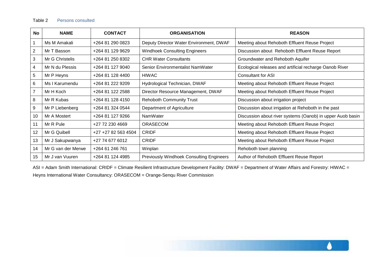| No             | <b>NAME</b>        | <b>CONTACT</b>      | <b>ORGANISATION</b>                             | <b>REASON</b>                                              |
|----------------|--------------------|---------------------|-------------------------------------------------|------------------------------------------------------------|
|                | Ms M Amakali       | +264 81 290 0823    | Deputy Director Water Environment, DWAF         | Meeting about Rehoboth Effluent Reuse Project              |
| 2              | Mr T Basson        | +264 81 129 9629    | <b>Windhoek Consulting Engineers</b>            | Discussion about Rehoboth Effluent Reuse Report            |
| 3              | Mr G Christelis    | +264 81 250 8302    | <b>CHR Water Consultants</b>                    | Groundwater and Rehoboth Aquifer                           |
| 4              | Mr N du Plessis    | +264 81 127 9040    | Senior Environmentalist NamWater                | Ecological releases and artificial recharge Oanob River    |
| 5              | Mr P Heyns         | +264 81 128 4400    | <b>HIWAC</b>                                    | <b>Consultant for ASI</b>                                  |
| 6              | Ms I Karumendu     | +264 81 222 9209    | Hydrological Technician, DWAF                   | Meeting about Rehoboth Effluent Reuse Project              |
| $\overline{7}$ | Mr H Koch          | +264 81 122 2588    | Director Resource Management, DWAF              | Meeting about Rehoboth Effluent Reuse Project              |
| 8              | Mr R Kubas         | +264 81 128 4150    | <b>Rehoboth Community Trust</b>                 | Discussion about irrigation project                        |
| 9              | Mr P Liebenberg    | +264 81 324 0544    | Department of Agriculture                       | Discussion about irrigation at Rehoboth in the past        |
| 10             | Mr A Mostert       | +264 81 127 9266    | NamWater                                        | Discussion about river systems (Oanob) in upper Auob basin |
| 11             | Mr R Pule          | +27 72 230 4669     | <b>ORASECOM</b>                                 | Meeting about Rehoboth Effluent Reuse Project              |
| 12             | Mr G Quibell       | +27 +27 82 563 4504 | <b>CRIDF</b>                                    | Meeting about Rehoboth Effluent Reuse Project              |
| 13             | Mr J Sakupwanya    | +27 74 677 6012     | <b>CRIDF</b>                                    | Meeting about Rehoboth Effluent Reuse Project              |
| 14             | Mr G van der Merwe | +264 61 246 761     | Winplan                                         | Rehoboth town planning                                     |
| 15             | Mr J van Vuuren    | +264 81 124 4985    | <b>Previously Windhoek Consulting Engineers</b> | Author of Rehoboth Effluent Reuse Report                   |

ASI = Adam Smith International: CRIDF = Climate Resilient Infrastructure Development Facility: DWAF = Department of Water Affairs and Forestry: HIWAC = Heyns International Water Consultancy: ORASECOM = Orange-Senqu River Commission

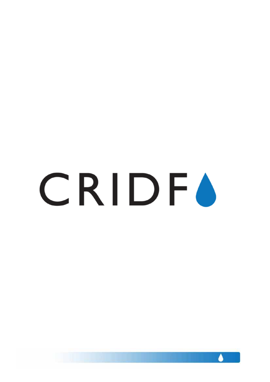# CRIDFO

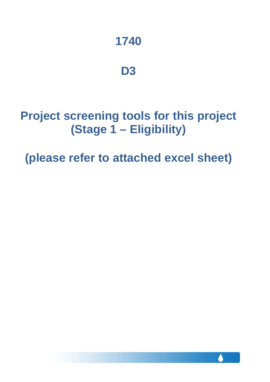# **1740**

### **D3**

# **Project screening tools for this project (Stage 1 – Eligibility)**

**(please refer to attached excel sheet)**

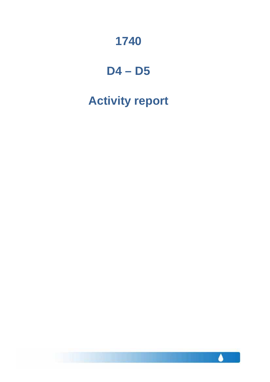# **1740**

### **D4 – D5**

# **Activity report**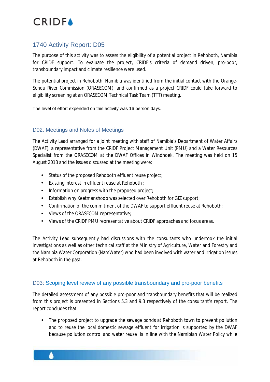### 1740 Activity Report: D05

The purpose of this activity was to assess the eligibility of a potential project in Rehoboth, Namibia for CRIDF support. To evaluate the project, CRIDF's criteria of demand driven, pro-poor, transboundary impact and climate resilience were used.

The potential project in Rehoboth, Namibia was identified from the initial contact with the Orange-Senqu River Commission (ORASECOM), and confirmed as a project CRIDF could take forward to eligibility screening at an ORASECOM Technical Task Team (TTT) meeting.

The level of effort expended on this activity was 16 person days.

#### D02: Meetings and Notes of Meetings

The Activity Lead arranged for a joint meeting with staff of Namibia's Department of Water Affairs (DWAF), a representative from the CRIDF Project Management Unit (PMU) and a Water Resources Specialist from the ORASECOM at the DWAF Offices in Windhoek. The meeting was held on 15 August 2013 and the issues discussed at the meeting were:

- Ÿ, Status of the proposed Rehoboth effluent reuse project;
- Existing interest in effluent reuse at Rehoboth ;
- Ÿ, Information on progress with the proposed project;
- Establish why Keetmanshoop was selected over Rehoboth for GIZ support;
- Confirmation of the commitment of the DWAF to support effluent reuse at Rehoboth;
- Views of the ORASECOM representative;
- Views of the CRIDF PMU representative about CRIDF approaches and focus areas.  $\mathbf{r}$

The Activity Lead subsequently had discussions with the consultants who undertook the initial investigations as well as other technical staff at the Ministry of Agriculture, Water and Forestry and the Namibia Water Corporation (NamWater) who had been involved with water and irrigation issues at Rehoboth in the past.

#### D03: Scoping level review of any possible transboundary and pro-poor benefits

The detailed assessment of any possible pro-poor and transboundary benefits that will be realized from this project is presented in Sections 5.3 and 9.3 respectively of the consultant's report. The report concludes that:

The proposed project to upgrade the sewage ponds at Rehoboth town to prevent pollution and to reuse the local domestic sewage effluent for irrigation is supported by the DWAF because pollution control and water reuse is in line with the Namibian Water Policy while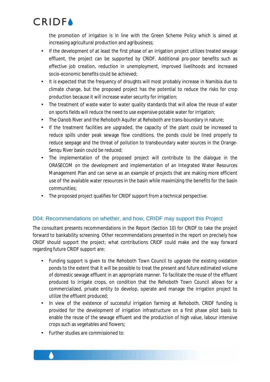the promotion of irrigation is in line with the Green Scheme Policy which is aimed at increasing agricultural production and agribusiness;

- If the development of at least the first phase of an irrigation project utilizes treated sewage effluent, the project can be supported by CRIDF. Additional pro-poor benefits such as effective job creation, reduction in unemployment, improved livelihoods and increased socio-economic benefits could be achieved;
- It is expected that the frequency of droughts will most probably increase in Namibia due to climate change, but the proposed project has the potential to reduce the risks for crop production because it will increase water security for irrigation;
- The treatment of waste water to water quality standards that will allow the reuse of water on sports fields will reduce the need to use expensive potable water for irrigation;
- The Oanob River and the Rehoboth Aquifer at Rehoboth are trans-boundary in nature;
- If the treatment facilities are upgraded, the capacity of the plant could be increased to reduce spills under peak sewage flow conditions, the ponds could be lined properly to reduce seepage and the threat of pollution to transboundary water sources in the Orange-Senqu River basin could be reduced;
- The implementation of the proposed project will contribute to the dialogue in the ORASECOM on the development and implementation of an Integrated Water Resources Management Plan and can serve as an example of projects that are making more efficient use of the available water resources in the basin while maximizing the benefits for the basin communities;
- l, The proposed project qualifies for CRIDF support from a technical perspective.

#### D04: Recommendations on whether, and how, CRIDF may support this Project

The consultant presents recommendations in the Report (Section 10) for CRIDF to take the project forward to bankability screening. Other recommendations presented in the report on precisely how CRIDF should support the project; what contributions CRIDF could make and the way forward regarding future CRIDF support are:

- Funding support is given to the Rehoboth Town Council to upgrade the existing oxidation  $\mathbf{r}$ ponds to the extent that it will be possible to treat the present and future estimated volume of domestic sewage effluent in an appropriate manner. To facilitate the reuse of the effluent produced to irrigate crops, on condition that the Rehoboth Town Council allows for a commercialized, private entity to develop, operate and manage the irrigation project to utilize the effluent produced;
- In view of the existence of successful irrigation farming at Rehoboth, CRIDF funding is  $\mathbf{r}$ provided for the development of irrigation infrastructure on a first phase pilot basis to enable the reuse of the sewage effluent and the production of high value, labour intensive crops such as vegetables and flowers;
- Further studies are commissioned to: